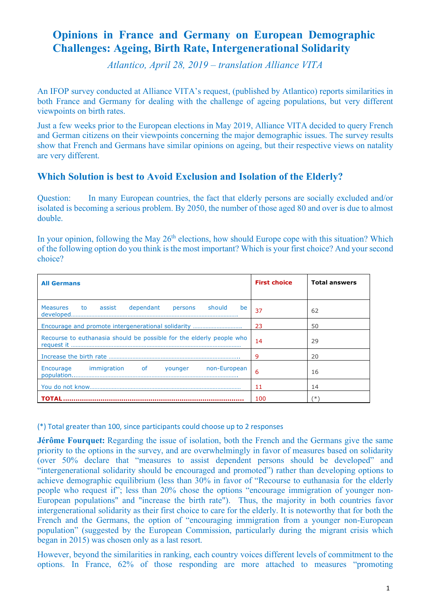# **Opinions in France and Germany on European Demographic Challenges: Ageing, Birth Rate, Intergenerational Solidarity**

*Atlantico, April 28, 2019 – translation Alliance VITA*

An IFOP survey conducted at Alliance VITA's request, (published by Atlantico) reports similarities in both France and Germany for dealing with the challenge of ageing populations, but very different viewpoints on birth rates.

Just a few weeks prior to the European elections in May 2019, Alliance VITA decided to query French and German citizens on their viewpoints concerning the major demographic issues. The survey results show that French and Germans have similar opinions on ageing, but their respective views on natality are very different.

### **Which Solution is best to Avoid Exclusion and Isolation of the Elderly?**

Question: In many European countries, the fact that elderly persons are socially excluded and/or isolated is becoming a serious problem. By 2050, the number of those aged 80 and over is due to almost double.

In your opinion, following the May  $26<sup>th</sup>$  elections, how should Europe cope with this situation? Which of the following option do you think is the most important? Which is your first choice? And your second choice?

| <b>All Germans</b>                                                   | <b>First choice</b> | <b>Total answers</b> |
|----------------------------------------------------------------------|---------------------|----------------------|
| <b>Measures</b><br>dependant<br>should<br>to assist<br>be<br>persons | 37                  | 62                   |
|                                                                      | 23                  | 50                   |
| Recourse to euthanasia should be possible for the elderly people who | 14                  | 29                   |
|                                                                      | 9                   | 20                   |
| immigration of younger non-European<br>Encourage                     | 6                   | 16                   |
|                                                                      | 11                  | 14                   |
| <b>TOTAL</b>                                                         | 100                 | (*)                  |

(\*) Total greater than 100, since participants could choose up to 2 responses

**Jérôme Fourquet:** Regarding the issue of isolation, both the French and the Germans give the same priority to the options in the survey, and are overwhelmingly in favor of measures based on solidarity (over 50% declare that "measures to assist dependent persons should be developed" and "intergenerational solidarity should be encouraged and promoted") rather than developing options to achieve demographic equilibrium (less than 30% in favor of "Recourse to euthanasia for the elderly people who request if"; less than 20% chose the options "encourage immigration of younger non-European populations" and "increase the birth rate"). Thus, the majority in both countries favor intergenerational solidarity as their first choice to care for the elderly. It is noteworthy that for both the French and the Germans, the option of "encouraging immigration from a younger non-European population" (suggested by the European Commission, particularly during the migrant crisis which began in 2015) was chosen only as a last resort.

However, beyond the similarities in ranking, each country voices different levels of commitment to the options. In France, 62% of those responding are more attached to measures "promoting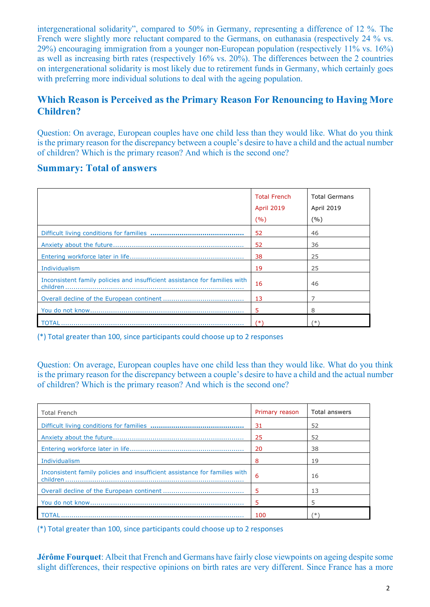intergenerational solidarity", compared to 50% in Germany, representing a difference of 12 %. The French were slightly more reluctant compared to the Germans, on euthanasia (respectively 24 % vs. 29%) encouraging immigration from a younger non-European population (respectively 11% vs. 16%) as well as increasing birth rates (respectively 16% vs. 20%). The differences between the 2 countries on intergenerational solidarity is most likely due to retirement funds in Germany, which certainly goes with preferring more individual solutions to deal with the ageing population.

## **Which Reason is Perceived as the Primary Reason For Renouncing to Having More Children?**

Question: On average, European couples have one child less than they would like. What do you think is the primary reason for the discrepancy between a couple's desire to have a child and the actual number of children? Which is the primary reason? And which is the second one?

#### **Summary: Total of answers**

|                                                                            | <b>Total French</b><br><b>April 2019</b> | <b>Total Germans</b><br><b>April 2019</b> |
|----------------------------------------------------------------------------|------------------------------------------|-------------------------------------------|
|                                                                            | (%)                                      | (%)                                       |
|                                                                            | 52                                       | 46                                        |
|                                                                            | 52                                       | 36                                        |
|                                                                            | 38                                       | 25                                        |
| Individualism                                                              | 19                                       | 25                                        |
| Inconsistent family policies and insufficient assistance for families with | 16                                       | 46                                        |
|                                                                            | 13                                       |                                           |
|                                                                            | 5                                        | 8                                         |
| <b>TOTAI</b>                                                               | (*)                                      | (*)                                       |

(\*) Total greater than 100, since participants could choose up to 2 responses

Question: On average, European couples have one child less than they would like. What do you think is the primary reason for the discrepancy between a couple's desire to have a child and the actual number of children? Which is the primary reason? And which is the second one?

| <b>Total French</b>                                                        | Primary reason | Total answers |
|----------------------------------------------------------------------------|----------------|---------------|
|                                                                            | 31             | 52            |
|                                                                            | 25             | 52            |
|                                                                            | 20             | 38            |
| Individualism                                                              | 8              | 19            |
| Inconsistent family policies and insufficient assistance for families with | 6              | 16            |
|                                                                            | 5              | 13            |
|                                                                            |                | 5             |
|                                                                            | 100            | ∗             |

(\*) Total greater than 100, since participants could choose up to 2 responses

**Jérôme Fourquet**: Albeit that French and Germans have fairly close viewpoints on ageing despite some slight differences, their respective opinions on birth rates are very different. Since France has a more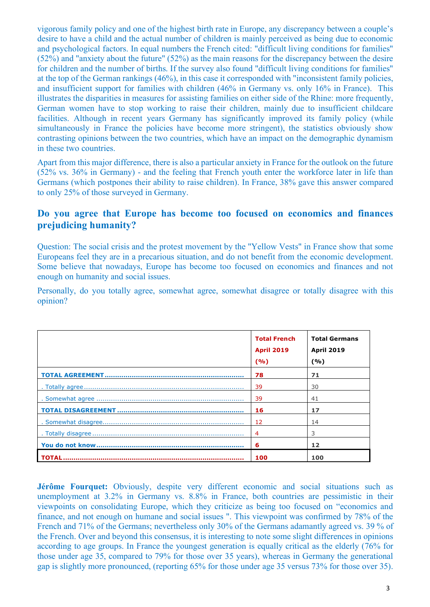vigorous family policy and one of the highest birth rate in Europe, any discrepancy between a couple's desire to have a child and the actual number of children is mainly perceived as being due to economic and psychological factors. In equal numbers the French cited: "difficult living conditions for families" (52%) and "anxiety about the future" (52%) as the main reasons for the discrepancy between the desire for children and the number of births. If the survey also found "difficult living conditions for families" at the top of the German rankings (46%), in this case it corresponded with "inconsistent family policies, and insufficient support for families with children (46% in Germany vs. only 16% in France). This illustrates the disparities in measures for assisting families on either side of the Rhine: more frequently, German women have to stop working to raise their children, mainly due to insufficient childcare facilities. Although in recent years Germany has significantly improved its family policy (while simultaneously in France the policies have become more stringent), the statistics obviously show contrasting opinions between the two countries, which have an impact on the demographic dynamism in these two countries.

Apart from this major difference, there is also a particular anxiety in France for the outlook on the future (52% vs. 36% in Germany) - and the feeling that French youth enter the workforce later in life than Germans (which postpones their ability to raise children). In France, 38% gave this answer compared to only 25% of those surveyed in Germany.

#### **Do you agree that Europe has become too focused on economics and finances prejudicing humanity?**

Question: The social crisis and the protest movement by the "Yellow Vests" in France show that some Europeans feel they are in a precarious situation, and do not benefit from the economic development. Some believe that nowadays, Europe has become too focused on economics and finances and not enough on humanity and social issues.

Personally, do you totally agree, somewhat agree, somewhat disagree or totally disagree with this opinion?

| <b>Total French</b><br><b>April 2019</b><br>(%) | <b>Total Germans</b><br><b>April 2019</b><br>(%) |
|-------------------------------------------------|--------------------------------------------------|
| 78                                              | 71                                               |
| 39                                              | 30                                               |
| 39                                              | 41                                               |
| 16                                              | 17                                               |
| 12                                              | 14                                               |
| 4                                               | 3                                                |
| 6                                               | 12                                               |
| 100                                             | 100                                              |

**Jérôme Fourquet:** Obviously, despite very different economic and social situations such as unemployment at 3.2% in Germany vs. 8.8% in France, both countries are pessimistic in their viewpoints on consolidating Europe, which they criticize as being too focused on "economics and finance, and not enough on humane and social issues ". This viewpoint was confirmed by 78% of the French and 71% of the Germans; nevertheless only 30% of the Germans adamantly agreed vs. 39 % of the French. Over and beyond this consensus, it is interesting to note some slight differences in opinions according to age groups. In France the youngest generation is equally critical as the elderly (76% for those under age 35, compared to 79% for those over 35 years), whereas in Germany the generational gap is slightly more pronounced, (reporting 65% for those under age 35 versus 73% for those over 35).